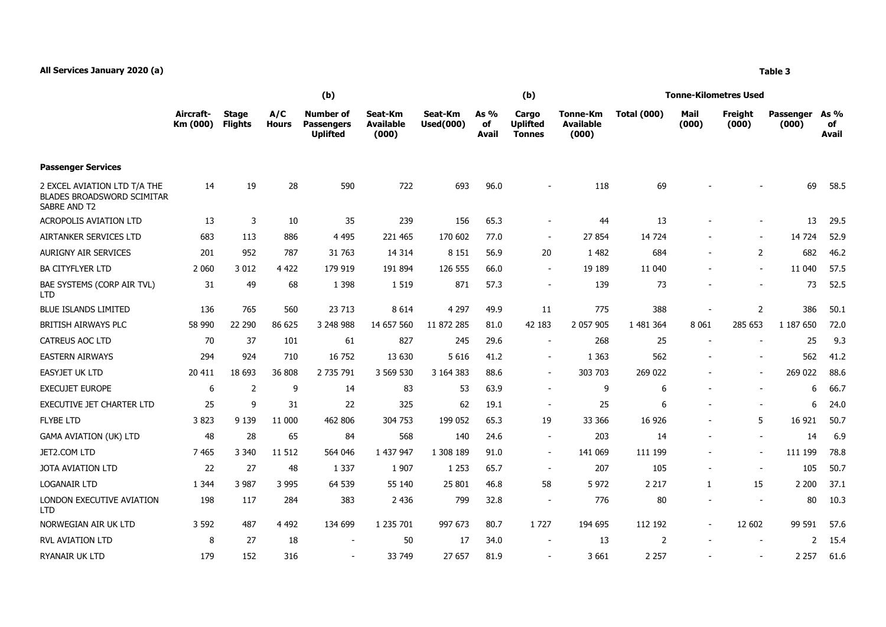|                                                                                   | Aircraft-<br>Km (000) | <b>Stage</b><br><b>Flights</b> | A/C<br><b>Hours</b> | <b>Number of</b><br><b>Passengers</b><br><b>Uplifted</b> | Seat-Km<br><b>Available</b><br>(000) | Seat-Km<br><b>Used(000)</b> | As %<br>of<br>Avail | Cargo<br><b>Uplifted</b><br><b>Tonnes</b> | <b>Tonne-Km</b><br><b>Available</b><br>(000) | <b>Total (000)</b> | Mail<br>(000)            | Freight<br>(000)         | Passenger<br>(000) | As %<br>of<br>Avail |
|-----------------------------------------------------------------------------------|-----------------------|--------------------------------|---------------------|----------------------------------------------------------|--------------------------------------|-----------------------------|---------------------|-------------------------------------------|----------------------------------------------|--------------------|--------------------------|--------------------------|--------------------|---------------------|
| <b>Passenger Services</b>                                                         |                       |                                |                     |                                                          |                                      |                             |                     |                                           |                                              |                    |                          |                          |                    |                     |
| 2 EXCEL AVIATION LTD T/A THE<br><b>BLADES BROADSWORD SCIMITAR</b><br>SABRE AND T2 | 14                    | 19                             | 28                  | 590                                                      | 722                                  | 693                         | 96.0                |                                           | 118                                          | 69                 |                          |                          | 69                 | 58.5                |
| <b>ACROPOLIS AVIATION LTD</b>                                                     | 13                    | 3                              | 10                  | 35                                                       | 239                                  | 156                         | 65.3                | $\overline{\phantom{a}}$                  | 44                                           | 13                 |                          |                          | 13                 | 29.5                |
| AIRTANKER SERVICES LTD                                                            | 683                   | 113                            | 886                 | 4 4 9 5                                                  | 221 465                              | 170 602                     | 77.0                | $\blacksquare$                            | 27 854                                       | 14 7 24            |                          |                          | 14 7 24            | 52.9                |
| <b>AURIGNY AIR SERVICES</b>                                                       | 201                   | 952                            | 787                 | 31 763                                                   | 14 3 14                              | 8 1 5 1                     | 56.9                | 20                                        | 1 4 8 2                                      | 684                | $\overline{\phantom{a}}$ | $\mathbf{2}$             | 682                | 46.2                |
| <b>BA CITYFLYER LTD</b>                                                           | 2 0 6 0               | 3 0 1 2                        | 4 4 2 2             | 179 919                                                  | 191 894                              | 126 555                     | 66.0                | $\sim$                                    | 19 18 9                                      | 11 040             |                          |                          | 11 040             | 57.5                |
| BAE SYSTEMS (CORP AIR TVL)<br><b>LTD</b>                                          | 31                    | 49                             | 68                  | 1 3 9 8                                                  | 1 5 1 9                              | 871                         | 57.3                | $\sim$                                    | 139                                          | 73                 | $\overline{\phantom{a}}$ | $\overline{\phantom{a}}$ | 73                 | 52.5                |
| <b>BLUE ISLANDS LIMITED</b>                                                       | 136                   | 765                            | 560                 | 23 713                                                   | 8 6 1 4                              | 4 2 9 7                     | 49.9                | 11                                        | 775                                          | 388                |                          | $\overline{2}$           | 386                | 50.1                |
| BRITISH AIRWAYS PLC                                                               | 58 990                | 22 290                         | 86 625              | 3 248 988                                                | 14 657 560                           | 11 872 285                  | 81.0                | 42 183                                    | 2 057 905                                    | 1 481 364          | 8 0 6 1                  | 285 653                  | 1 187 650          | 72.0                |
| <b>CATREUS AOC LTD</b>                                                            | 70                    | 37                             | 101                 | 61                                                       | 827                                  | 245                         | 29.6                | $\overline{\phantom{a}}$                  | 268                                          | 25                 | $\overline{\phantom{a}}$ |                          | 25                 | 9.3                 |
| <b>EASTERN AIRWAYS</b>                                                            | 294                   | 924                            | 710                 | 16 752                                                   | 13 630                               | 5 6 1 6                     | 41.2                | $\blacksquare$                            | 1 3 6 3                                      | 562                |                          |                          | 562                | 41.2                |
| <b>EASYJET UK LTD</b>                                                             | 20 411                | 18 693                         | 36 808              | 2 735 791                                                | 3 569 530                            | 3 164 383                   | 88.6                | $\overline{\phantom{a}}$                  | 303 703                                      | 269 022            |                          | $\overline{\phantom{a}}$ | 269 022            | 88.6                |
| <b>EXECUJET EUROPE</b>                                                            | 6                     | 2                              | 9                   | 14                                                       | 83                                   | 53                          | 63.9                | $\blacksquare$                            | 9                                            | 6                  |                          |                          | 6                  | 66.7                |
| EXECUTIVE JET CHARTER LTD                                                         | 25                    | 9                              | 31                  | 22                                                       | 325                                  | 62                          | 19.1                |                                           | 25                                           | 6                  |                          |                          | 6                  | 24.0                |
| <b>FLYBE LTD</b>                                                                  | 3823                  | 9 1 3 9                        | 11 000              | 462 806                                                  | 304 753                              | 199 052                     | 65.3                | 19                                        | 33 366                                       | 16 9 26            |                          | 5                        | 16 921             | 50.7                |
| <b>GAMA AVIATION (UK) LTD</b>                                                     | 48                    | 28                             | 65                  | 84                                                       | 568                                  | 140                         | 24.6                | $\overline{\phantom{a}}$                  | 203                                          | 14                 |                          |                          | 14                 | 6.9                 |
| JET2.COM LTD                                                                      | 7 4 6 5               | 3 3 4 0                        | 11 5 12             | 564 046                                                  | 1 437 947                            | 1 308 189                   | 91.0                | $\overline{\phantom{a}}$                  | 141 069                                      | 111 199            | $\overline{\phantom{a}}$ | $\blacksquare$           | 111 199            | 78.8                |
| JOTA AVIATION LTD                                                                 | 22                    | 27                             | 48                  | 1 3 3 7                                                  | 1 9 0 7                              | 1 2 5 3                     | 65.7                | $\overline{a}$                            | 207                                          | 105                |                          |                          | 105                | 50.7                |
| <b>LOGANAIR LTD</b>                                                               | 1 3 4 4               | 3 9 8 7                        | 3 9 9 5             | 64 539                                                   | 55 140                               | 25 801                      | 46.8                | 58                                        | 5 9 7 2                                      | 2 2 1 7            | 1                        | 15                       | 2 2 0 0            | 37.1                |
| LONDON EXECUTIVE AVIATION<br><b>LTD</b>                                           | 198                   | 117                            | 284                 | 383                                                      | 2 4 3 6                              | 799                         | 32.8                | $\overline{\phantom{a}}$                  | 776                                          | 80                 |                          |                          | 80                 | 10.3                |
| NORWEGIAN AIR UK LTD                                                              | 3 5 9 2               | 487                            | 4 4 9 2             | 134 699                                                  | 1 235 701                            | 997 673                     | 80.7                | 1727                                      | 194 695                                      | 112 192            | $\overline{\phantom{a}}$ | 12 602                   | 99 591             | 57.6                |
| <b>RVL AVIATION LTD</b>                                                           | 8                     | 27                             | 18                  | $\blacksquare$                                           | 50                                   | 17                          | 34.0                | $\overline{\phantom{a}}$                  | 13                                           | 2                  | $\sim$                   | $\sim$                   | 2                  | 15.4                |
| RYANAIR UK LTD                                                                    | 179                   | 152                            | 316                 |                                                          | 33 749                               | 27 657                      | 81.9                |                                           | 3 6 6 1                                      | 2 2 5 7            |                          |                          | 2 2 5 7            | 61.6                |